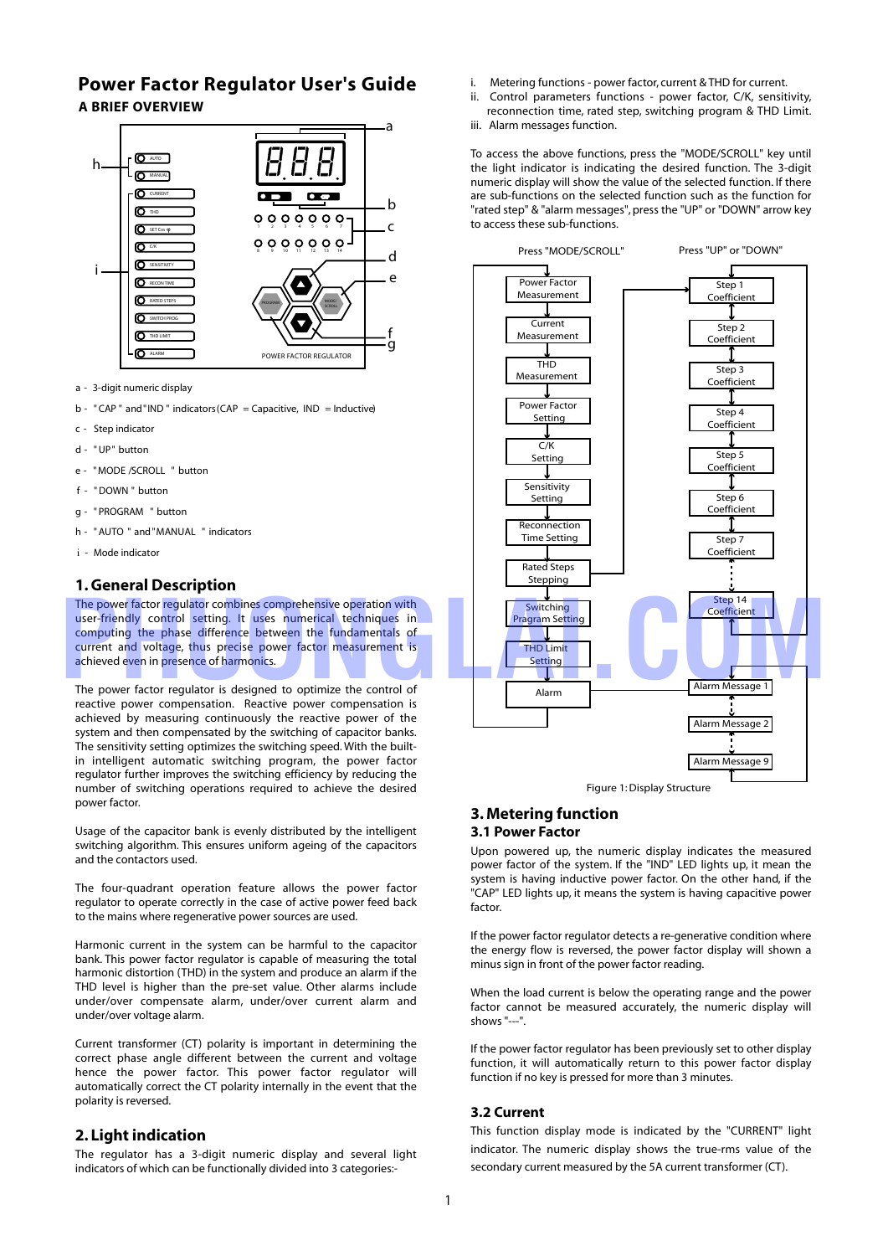# **Power Factor Regulator User's Guide A BRIEF OVERVIEW**



- a 3-digit numeric display
- $b "CAP"$  and "IND" indicators (CAP = Capacitive, IND = Inductive)
- c Step indicator
- d "UP" button
- e " MODE /SCROLL " button
- f "DOWN " button
- g " PROGRAM " button
- h "AUTO " and "MANUAL " indicators
- i Mode indicator

### **1. General Description**

The power factor regulator combines comprehensive operation with user-friendly control setting. It uses numerical techniques in computing the phase difference between the fundamentals of current and voltage, thus precise power factor measurement is achieved even in presence of harmonics.

The power factor regulator is designed to optimize the control of reactive power compensation. Reactive power compensation is achieved by measuring continuously the reactive power of the system and then compensated by the switching of capacitor banks. The sensitivity setting optimizes the switching speed. With the builtin intelligent automatic switching program, the power factor regulator further improves the switching efficiency by reducing the number of switching operations required to achieve the desired power factor.

Usage of the capacitor bank is evenly distributed by the intelligent switching algorithm. This ensures uniform ageing of the capacitors and the contactors used.

The four-quadrant operation feature allows the power factor regulator to operate correctly in the case of active power feed back to the mains where regenerative power sources are used.

Harmonic current in the system can be harmful to the capacitor bank. This power factor regulator is capable of measuring the total harmonic distortion (THD) in the system and produce an alarm if the THD level is higher than the pre-set value. Other alarms include under/over compensate alarm, under/over current alarm and under/over voltage alarm.

Current transformer (CT) polarity is important in determining the correct phase angle different between the current and voltage hence the power factor. This power factor regulator will automatically correct the CT polarity internally in the event that the polarity is reversed.

### **2. Light indication**

The regulator has a 3-digit numeric display and several light indicators of which can be functionally divided into 3 categories:-

- Metering functions power factor, current & THD for current.
- ii. Control parameters functions power factor, C/K, sensitivity, reconnection time, rated step, switching program & THD Limit.
- iii. Alarm messages function.

To access the above functions, press the "MODE/SCROLL" key until the light indicator is indicating the desired function. The 3-digit numeric display will show the value of the selected function. If there are sub-functions on the selected function such as the function for "rated step" & "alarm messages", press the "UP" or "DOWN" arrow key to access these sub-functions.



Figure 1: Display Structure

### **3. Metering function 3.1 Power Factor**

Upon powered up, the numeric display indicates the measured power factor of the system. If the "IND" LED lights up, it mean the system is having inductive power factor. On the other hand, if the "CAP" LED lights up, it means the system is having capacitive power factor.

If the power factor regulator detects a re-generative condition where the energy flow is reversed, the power factor display will shown a minus sign in front of the power factor reading.

When the load current is below the operating range and the power factor cannot be measured accurately, the numeric display will shows "---".

If the power factor regulator has been previously set to other display function, it will automatically return to this power factor display function if no key is pressed for more than 3 minutes.

#### **3.2 Current**

This function display mode is indicated by the "CURRENT" light indicator. The numeric display shows the true-rms value of the secondary current measured by the 5A current transformer (CT).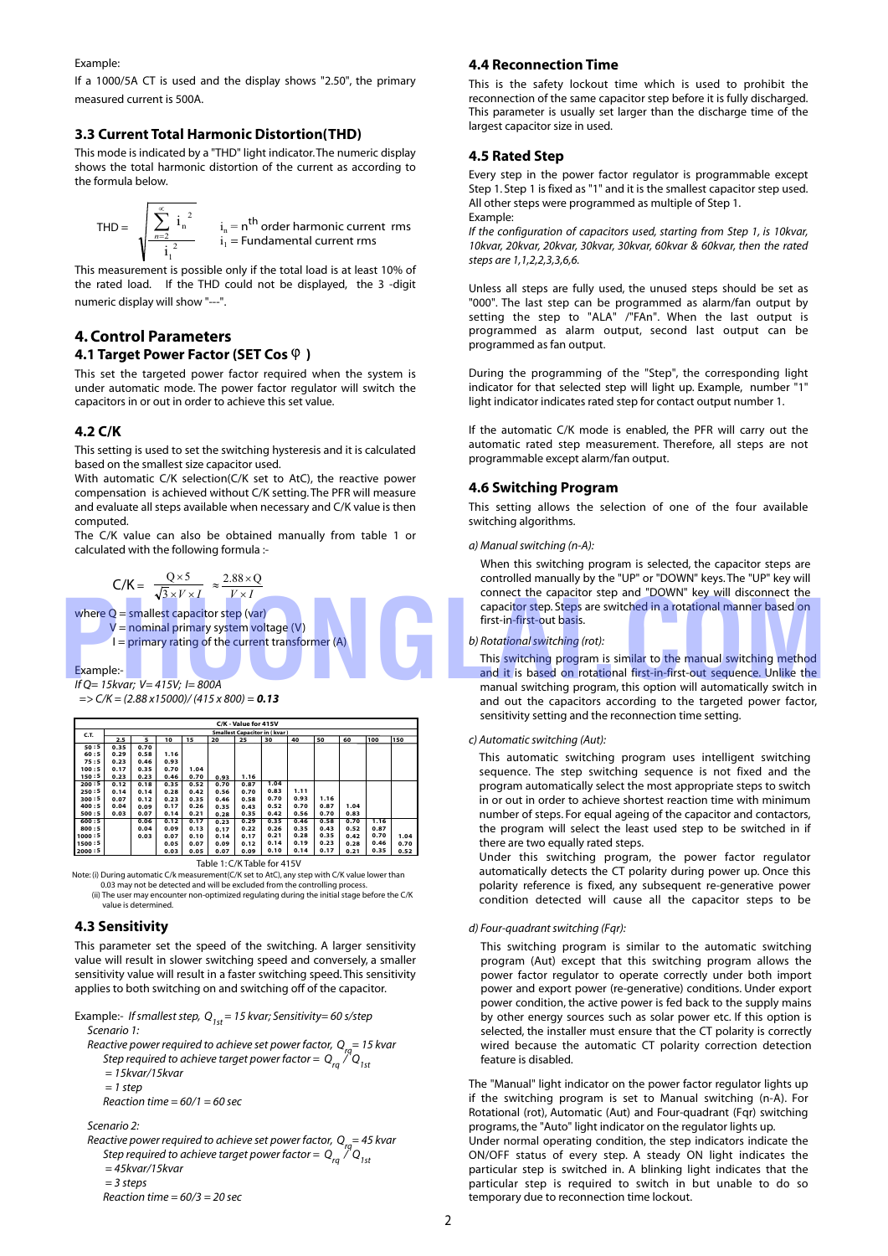Example:

If a 1000/5A CT is used and the display shows "2.50", the primary measured current is 500A.

### **3.3 Current Total Harmonic Distortion(THD)**

This mode is indicated by a "THD" light indicator.The numeric display shows the total harmonic distortion of the current as according to the formula below.

$$
\text{THD} = \sqrt{\sum_{n=2}^{\infty} i_n^2 \over i_1^2} \qquad i_n = n^{\text{th}} \text{ order harmonic current rms}
$$

This measurement is possible only if the total load is at least 10% of the rated load. If the THD could not be displayed, the 3 -digit numeric display will show "---".

### **4. Control Parameters 4.1 Target Power Factor (SET Cos**  $\varphi$ **)**

This set the targeted power factor required when the system is under automatic mode. The power factor regulator will switch the capacitors in or out in order to achieve this set value.

### **4.2 C/K**

This setting is used to set the switching hysteresis and it is calculated based on the smallest size capacitor used.

With automatic C/K selection(C/K set to AtC), the reactive power compensation is achieved without C/K setting. The PFR will measure and evaluate all steps available when necessary and C/K value is then computed.

The C/K value can also be obtained manually from table 1 or calculated with the following formula :-

 $\frac{Q \times J}{\sqrt{3} \times V \times I}$ × 3  $0\times 5$  $V \times I$  $\approx \frac{2.88 \times Q}{4}$ 

where  $Q =$  smallest capacitor step (var)

 V = nominal primary system voltage (V)  $I =$  primary rating of the current transformer  $(A)$ 

#### Example:-

*If Q= 15kvar; V= 415V; I= 800A => C/K = (2.88 x15000)/ (415 x 800) = 0.13*

| $=$ $>$ $C/N$ = (2.88 X I $3$ 000)/ (4 I $3$ X 800) = <b>0.13</b> |  |
|-------------------------------------------------------------------|--|
|                                                                   |  |
|                                                                   |  |

|                                | C/K - Value for 415V                |      |      |      |      |      |      |      |      |      |      |      |
|--------------------------------|-------------------------------------|------|------|------|------|------|------|------|------|------|------|------|
| C.T.                           | <b>Smallest Capacitor in (kvar)</b> |      |      |      |      |      |      |      |      |      |      |      |
|                                | 2.5                                 | 5    | 10   | 15   | 20   | 25   | 30   | 40   | 50   | 60   | 100  | 150  |
| 50:5                           | 0.35                                | 0.70 |      |      |      |      |      |      |      |      |      |      |
| 60:5                           | 0.29                                | 0.58 | 1.16 |      |      |      |      |      |      |      |      |      |
| 75:5                           | 0.23                                | 0.46 | 0.93 |      |      |      |      |      |      |      |      |      |
| 100:5                          | 0.17                                | 0.35 | 0.70 | 1.04 |      |      |      |      |      |      |      |      |
| 150:5                          | 0.23                                | 0.23 | 0.46 | 0.70 | 0.93 | 1.16 |      |      |      |      |      |      |
| 200:5                          | 0.12                                | 0.18 | 0.35 | 0.52 | 0.70 | 0.87 | 1.04 |      |      |      |      |      |
| 250:5                          | 0.14                                | 0.14 | 0.28 | 0.42 | 0.56 | 0.70 | 0.83 | 1.11 |      |      |      |      |
| 300:5                          | 0.07                                | 0.12 | 0.23 | 0.35 | 0.46 | 0.58 | 0.70 | 0.93 | 1.16 |      |      |      |
| 400:5                          | 0.04                                | 0.09 | 0.17 | 0.26 | 0.35 | 0.43 | 0.52 | 0.70 | 0.87 | 1.04 |      |      |
| 500:5                          | 0.03                                | 0.07 | 0.14 | 0.21 | 0.28 | 0.35 | 0.42 | 0.56 | 0.70 | 0.83 |      |      |
| 600:5                          |                                     | 0.06 | 0.12 | 0.17 | 0.23 | 0.29 | 0.35 | 0.46 | 0.58 | 0.70 | 1.16 |      |
| 800:5                          |                                     | 0.04 | 0.09 | 0.13 | 0.17 | 0.22 | 0.26 | 0.35 | 0.43 | 0.52 | 0.87 |      |
| 1000:5                         |                                     | 0.03 | 0.07 | 0.10 | 0.14 | 0.17 | 0.21 | 0.28 | 0.35 | 0.42 | 0.70 | 1.04 |
| 1500:5                         |                                     |      | 0.05 | 0.07 | 0.09 | 0.12 | 0.14 | 0.19 | 0.23 | 0.28 | 0.46 | 0.70 |
| 2000:5                         |                                     |      | 0.03 | 0.05 | 0.07 | 0.09 | 0.10 | 0.14 | 0.17 | 0.21 | 0.35 | 0.52 |
| $Table 1.0/V$ Table for $11EV$ |                                     |      |      |      |      |      |      |      |      |      |      |      |

Table 1: C/K Table for 415V Note: (i) During automatic C/k measurement(C/K set to AtC), any step with C/K value lower than 0.03 may not be detected and will be excluded from the controlling process. (ii) The user may encounter non-optimized regulating during the initial stage before the C/K

value is determined.

#### **4.3 Sensitivity**

This parameter set the speed of the switching. A larger sensitivity value will result in slower switching speed and conversely, a smaller sensitivity value will result in a faster switching speed.This sensitivity applies to both switching on and switching off of the capacitor.

- Example:- *Ifsmallest step, Q1st= 15 kvar; Sensitivity= 60 s/step Scenario 1:*
- *Reactive power required to achieve set power factor, Qrq = 15 kvar Step required to achieve target power factor = Qrq / Q1st = 15kvar/15kvar*
	- *= 1 step*

 *Reaction time = 60/1 = 60 sec* 

*Scenario 2:*

 *Reactive power required to achieve set power factor, Qrq = 45 kvar Step required to achieve target power factor = Qrq / Q1st = 45kvar/15kvar = 3 steps Reaction time = 60/3 = 20 sec*

### **4.4 Reconnection Time**

This is the safety lockout time which is used to prohibit the reconnection of the same capacitor step before it is fully discharged. This parameter is usually set larger than the discharge time of the largest capacitor size in used.

### **4.5 Rated Step**

Every step in the power factor regulator is programmable except Step 1. Step 1 is fixed as "1" and it is the smallest capacitor step used. All other steps were programmed as multiple of Step 1. Example:

*If the configuration of capacitors used, starting from Step 1, is 10kvar, 10kvar, 20kvar, 20kvar, 30kvar, 30kvar, 60kvar & 60kvar, then the rated steps are 1,1,2,2,3,3,6,6.*

Unless all steps are fully used, the unused steps should be set as "000". The last step can be programmed as alarm/fan output by setting the step to "ALA" /"FAn". When the last output is programmed as alarm output, second last output can be programmed as fan output.

During the programming of the "Step", the corresponding light indicator for that selected step will light up. Example, number "1" light indicator indicates rated step for contact output number 1.

If the automatic C/K mode is enabled, the PFR will carry out the automatic rated step measurement. Therefore, all steps are not programmable except alarm/fan output.

### **4.6 Switching Program**

This setting allows the selection of one of the four available switching algorithms.

*a) Manual switching (n-A):*

When this switching program is selected, the capacitor steps are controlled manually by the "UP" or "DOWN" keys. The "UP" key will connect the capacitor step and "DOWN" key will disconnect the capacitor step. Steps are switched in a rotational manner based on first-in-first-out basis.

*b) Rotational switching (rot):* 

This switching program is similar to the manual switching method and it is based on rotational first-in-first-out sequence. Unlike the manual switching program, this option will automatically switch in and out the capacitors according to the targeted power factor, sensitivity setting and the reconnection time setting.  $\sqrt{3} \times V \times I$   $V \times I$ <br>
Where Q = smallest capacitor step (var)<br>
V = nominal primary system voltage (V)<br>
V = nominal primary system voltage (V)<br>
Le primary rating of the current transformer (A)<br>
Example:-<br>
Faxample:-<br>
Faxam

#### *c) Automatic switching (Aut):*

This automatic switching program uses intelligent switching sequence. The step switching sequence is not fixed and the program automatically select the most appropriate steps to switch in or out in order to achieve shortest reaction time with minimum number of steps. For equal ageing of the capacitor and contactors, the program will select the least used step to be switched in if there are two equally rated steps.

Under this switching program, the power factor regulator automatically detects the CT polarity during power up. Once this polarity reference is fixed, any subsequent re-generative power condition detected will cause all the capacitor steps to be

#### *d) Four-quadrant switching (Fqr):*

This switching program is similar to the automatic switching program (Aut) except that this switching program allows the power factor regulator to operate correctly under both import power and export power (re-generative) conditions. Under export power condition, the active power is fed back to the supply mains by other energy sources such as solar power etc. If this option is selected, the installer must ensure that the CT polarity is correctly wired because the automatic CT polarity correction detection feature is disabled.

The "Manual" light indicator on the power factor regulator lights up if the switching program is set to Manual switching (n-A). For Rotational (rot), Automatic (Aut) and Four-quadrant (Fqr) switching programs, the "Auto" light indicator on the regulator lights up.

Under normal operating condition, the step indicators indicate the ON/OFF status of every step. A steady ON light indicates the particular step is switched in. A blinking light indicates that the particular step is required to switch in but unable to do so temporary due to reconnection time lockout.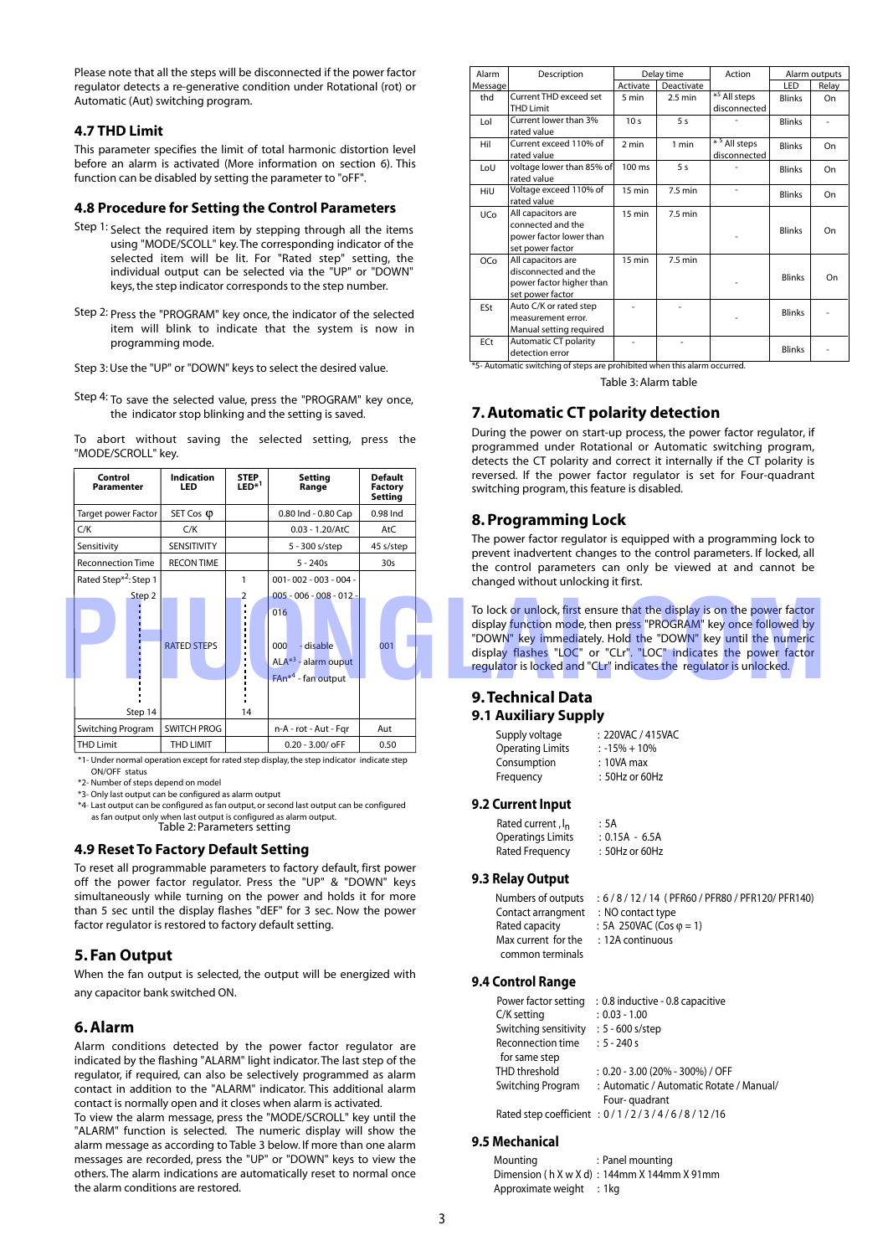Please note that all the steps will be disconnected if the power factor regulator detects a re-generative condition under Rotational (rot) or Automatic (Aut) switching program.

#### **4.7 THD Limit**

This parameter specifies the limit of total harmonic distortion level before an alarm is activated (More information on section 6). This function can be disabled by setting the parameter to "oFF".

#### **4.8 Procedure for Setting the Control Parameters**

- Step 1: Select the required item by stepping through all the items using "MODE/SCOLL" key.The corresponding indicator of the selected item will be lit. For "Rated step" setting, the individual output can be selected via the "UP" or "DOWN" keys, the step indicator corresponds to the step number.
- Step 2: Press the "PROGRAM" key once, the indicator of the selected item will blink to indicate that the system is now in programming mode.
- Step 3: Use the "UP" or "DOWN" keys to select the desired value.
- Step 4: To save the selected value, press the "PROGRAM" key once, the indicator stop blinking and the setting is saved.

To abort without saving the selected setting, press the "MODE/SCROLL" key.



\*1- Under normal operation except for rated step display,the step indicator indicate step ON/OFF status

\*2- Number of steps depend on model

\*3- Only last output can be configured as alarm output

\*4- Last output can be configured as fan output, or second last output can be configured as fan output only when last output is configured as alarm output. Table 2: Parameters setting

#### **4.9 Reset To Factory Default Setting**

To reset all programmable parameters to factory default, first power off the power factor regulator. Press the "UP" & "DOWN" keys simultaneously while turning on the power and holds it for more than 5 sec until the display flashes "dEF" for 3 sec. Now the power factor regulator is restored to factory default setting.

### **5. Fan Output**

When the fan output is selected, the output will be energized with any capacitor bank switched ON.

#### **6. Alarm**

Alarm conditions detected by the power factor regulator are indicated by the flashing "ALARM" light indicator.The last step of the regulator, if required, can also be selectively programmed as alarm contact in addition to the "ALARM" indicator. This additional alarm contact is normally open and it closes when alarm is activated.

To view the alarm message, press the "MODE/SCROLL" key until the "ALARM" function is selected. The numeric display will show the alarm message as according to Table 3 below. If more than one alarm messages are recorded, press the "UP" or "DOWN" keys to view the others. The alarm indications are automatically reset to normal once the alarm conditions are restored.

| Alarm           | Description                                                                                | Delay time       |                   | Action                                     | Alarm outputs |       |
|-----------------|--------------------------------------------------------------------------------------------|------------------|-------------------|--------------------------------------------|---------------|-------|
| Message         |                                                                                            | Activate         | Deactivate        |                                            | LED           | Relay |
| thd             | Current THD exceed set                                                                     | 5 min            | $2.5 \text{ min}$ | $*^5$ All steps                            | <b>Blinks</b> | On    |
|                 | <b>THD Limit</b>                                                                           |                  |                   | disconnected                               |               |       |
| Lol             | Current lower than 3%<br>rated value                                                       | 10 <sub>s</sub>  | 5 <sub>s</sub>    |                                            | <b>Blinks</b> |       |
| Hil             | Current exceed 110% of<br>rated value                                                      | 2 min            | 1 min             | $*$ <sup>5</sup> All steps<br>disconnected | <b>Blinks</b> | On    |
| LoU             | voltage lower than 85% of<br>rated value                                                   | 100 ms           | 5 <sub>s</sub>    |                                            | <b>Blinks</b> | On    |
| HiU             | Voltage exceed 110% of<br>rated value                                                      | 15 min           | $7.5 \text{ min}$ |                                            | <b>Blinks</b> | On    |
| UC <sub>o</sub> | All capacitors are<br>connected and the<br>power factor lower than<br>set power factor     | 15 min           | $7.5$ min         |                                            | <b>Blinks</b> | On    |
| OC <sub>o</sub> | All capacitors are<br>disconnected and the<br>power factor higher than<br>set power factor | $15 \text{ min}$ | $7.5 \text{ min}$ |                                            | <b>Blinks</b> | On    |
| ESt             | Auto C/K or rated step<br>measurement error.<br>Manual setting required                    |                  |                   |                                            | <b>Blinks</b> |       |
| ECt             | Automatic CT polarity<br>detection error                                                   |                  |                   |                                            | <b>Blinks</b> |       |

\*5- Automatic switching of steps are prohibited when this alarm occurred.

Table 3: Alarm table

### **7. Automatic CT polarity detection**

During the power on start-up process, the power factor regulator, if programmed under Rotational or Automatic switching program, detects the CT polarity and correct it internally if the CT polarity is reversed. If the power factor regulator is set for Four-quadrant switching program, this feature is disabled.

### **8. Programming Lock**

The power factor regulator is equipped with a programming lock to prevent inadvertent changes to the control parameters. If locked, all the control parameters can only be viewed at and cannot be changed without unlocking it first.

To lock or unlock, first ensure that the display is on the power factor display function mode, then press "PROGRAM" key once followed by "DOWN" key immediately. Hold the "DOWN" key until the numeric display flashes "LOC" or "CLr". "LOC" indicates the power factor regulator is locked and "CLr" indicates the regulator is unlocked.

### **9.Technical Data 9.1 Auxiliary Supply**

| Supply voltage          | : 220VAC / 415VAC |
|-------------------------|-------------------|
| <b>Operating Limits</b> | $: -15\% + 10\%$  |
| Consumption             | $: 10VA$ max      |
| Frequency               | : 50Hz or 60Hz    |

#### **9.2 Current Input**

| Rated current, I <sub>n</sub> | : 5A             |
|-------------------------------|------------------|
| <b>Operatings Limits</b>      | $: 0.15A - 6.5A$ |
| Rated Frequency               | : 50Hz or 60Hz   |

#### **9.3 Relay Output**

| Numbers of outputs                   | : 6/8/12/14 (PFR60/PFR80/PFR120/PFR140) |
|--------------------------------------|-----------------------------------------|
| Contact arrangment : NO contact type |                                         |
| Rated capacity                       | : 5A 250VAC (Cos $\varphi$ = 1)         |
| Max current for the                  | : 12A continuous                        |
| common terminals                     |                                         |

#### **9.4 Control Range**

| Power factor setting  | : 0.8 inductive - 0.8 capacitive            |
|-----------------------|---------------------------------------------|
| C/K setting           | $: 0.03 - 1.00$                             |
| Switching sensitivity | $: 5 - 600$ s/step                          |
| Reconnection time     | $: 5 - 240s$                                |
| for same step         |                                             |
| THD threshold         | $: 0.20 - 3.00$ (20% - 300%) / OFF          |
| Switching Program     | : Automatic / Automatic Rotate / Manual/    |
|                       | Four-quadrant                               |
|                       | Rated step coefficient: 0/1/2/3/4/6/8/12/16 |

#### **9.5 Mechanical**

| Mounting                 | : Panel mounting                                |
|--------------------------|-------------------------------------------------|
|                          | Dimension ( $h$ X w X d) : 144mm X 144mm X 91mm |
| Approximate weight : 1kg |                                                 |